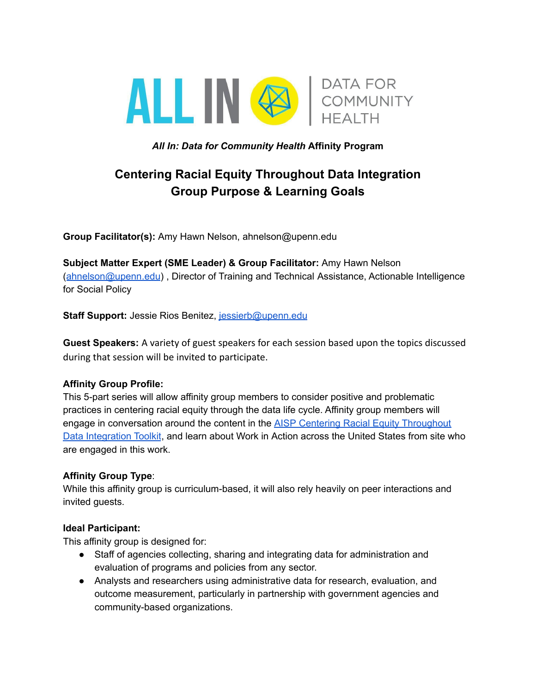

*All In: Data for Community Health* **Affinity Program**

# **Centering Racial Equity Throughout Data Integration Group Purpose & Learning Goals**

**Group Facilitator(s):** Amy Hawn Nelson, ahnelson@upenn.edu

**Subject Matter Expert (SME Leader) & Group Facilitator:** Amy Hawn Nelson ([ahnelson@upenn.edu](mailto:ahnelson@upenn.edu)) , Director of Training and Technical Assistance, Actionable Intelligence for Social Policy

**Staff Support:** Jessie Rios Benitez, [jessierb@upenn.edu](mailto:jessierb@upenn.edu)

**Guest Speakers:** A variety of guest speakers for each session based upon the topics discussed during that session will be invited to participate.

## **Affinity Group Profile:**

This 5-part series will allow affinity group members to consider positive and problematic practices in centering racial equity through the data life cycle. Affinity group members will engage in conversation around the content in the **AISP Centering Racial Equity [Throughout](https://www.aisp.upenn.edu/centering-equity/)** Data [Integration](https://www.aisp.upenn.edu/centering-equity/) Toolkit, and learn about Work in Action across the United States from site who are engaged in this work.

## **Affinity Group Type**:

While this affinity group is curriculum-based, it will also rely heavily on peer interactions and invited guests.

## **Ideal Participant:**

This affinity group is designed for:

- Staff of agencies collecting, sharing and integrating data for administration and evaluation of programs and policies from any sector.
- Analysts and researchers using administrative data for research, evaluation, and outcome measurement, particularly in partnership with government agencies and community-based organizations.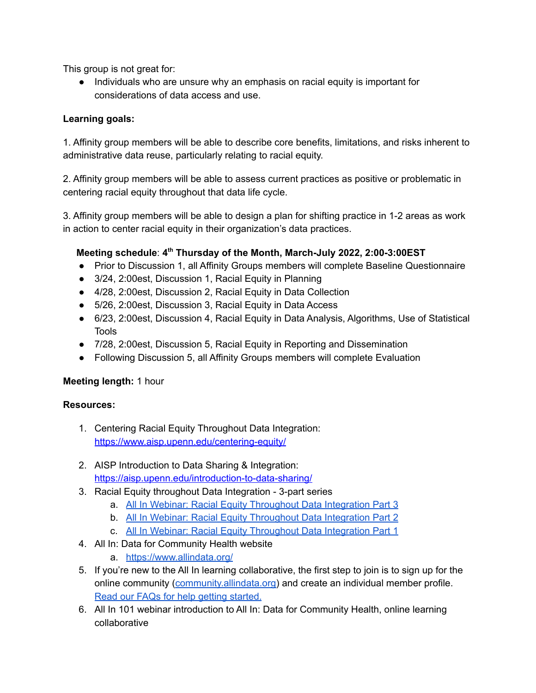This group is not great for:

● Individuals who are unsure why an emphasis on racial equity is important for considerations of data access and use.

## **Learning goals:**

1. Affinity group members will be able to describe core benefits, limitations, and risks inherent to administrative data reuse, particularly relating to racial equity.

2. Affinity group members will be able to assess current practices as positive or problematic in centering racial equity throughout that data life cycle.

3. Affinity group members will be able to design a plan for shifting practice in 1-2 areas as work in action to center racial equity in their organization's data practices.

## **Meeting schedule**: **4 th Thursday of the Month, March-July 2022, 2:00-3:00EST**

- Prior to Discussion 1, all Affinity Groups members will complete Baseline Questionnaire
- 3/24, 2:00est, Discussion 1, Racial Equity in Planning
- 4/28, 2:00est, Discussion 2, Racial Equity in Data Collection
- 5/26, 2:00est, Discussion 3, Racial Equity in Data Access
- 6/23, 2:00est, Discussion 4, Racial Equity in Data Analysis, Algorithms, Use of Statistical Tools
- 7/28, 2:00est, Discussion 5, Racial Equity in Reporting and Dissemination
- Following Discussion 5, all Affinity Groups members will complete Evaluation

## **Meeting length:** 1 hour

## **Resources:**

- 1. Centering Racial Equity Throughout Data Integration: <https://www.aisp.upenn.edu/centering-equity/>
- 2. AISP Introduction to Data Sharing & Integration: <https://aisp.upenn.edu/introduction-to-data-sharing/>
- 3. Racial Equity throughout Data Integration 3-part series
	- a. All In Webinar: Racial Equity [Throughout](https://www.allindata.org/resources/all-in-webinar-racial-equity-throughout-data-integration-part-3/) Data Integration Part 3
	- b. All In Webinar: Racial Equity [Throughout](https://www.allindata.org/resources/all-in-webinar-racial-equity-throughout-data-integration-part-2/) Data Integration Part 2
	- c. All In Webinar: Racial Equity [Throughout](https://www.allindata.org/resources/all-in-webinar-racial-equity-throughout-data-integration-part-1/) Data Integration Part 1
- 4. All In: Data for Community Health website
	- a. <https://www.allindata.org/>
- 5. If you're new to the All In learning collaborative, the first step to join is to sign up for the online community [\(community.allindata.org\)](https://community.allindata.org/home) and create an individual member profile. Read our FAQs for help getting [started.](https://community.allindata.org/participate/faq)
- 6. All In 101 webinar introduction to All In: Data for Community Health, online learning collaborative